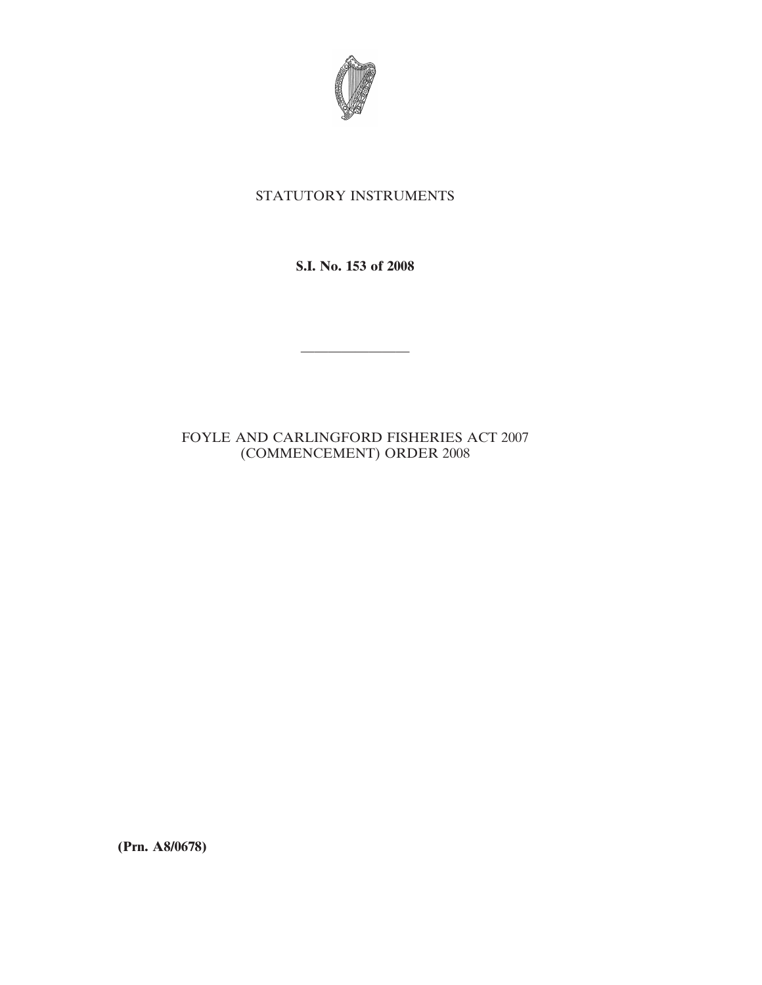

## STATUTORY INSTRUMENTS

**S.I. No. 153 of 2008**

————————

## FOYLE AND CARLINGFORD FISHERIES ACT 2007 (COMMENCEMENT) ORDER 2008

**(Prn. A8/0678)**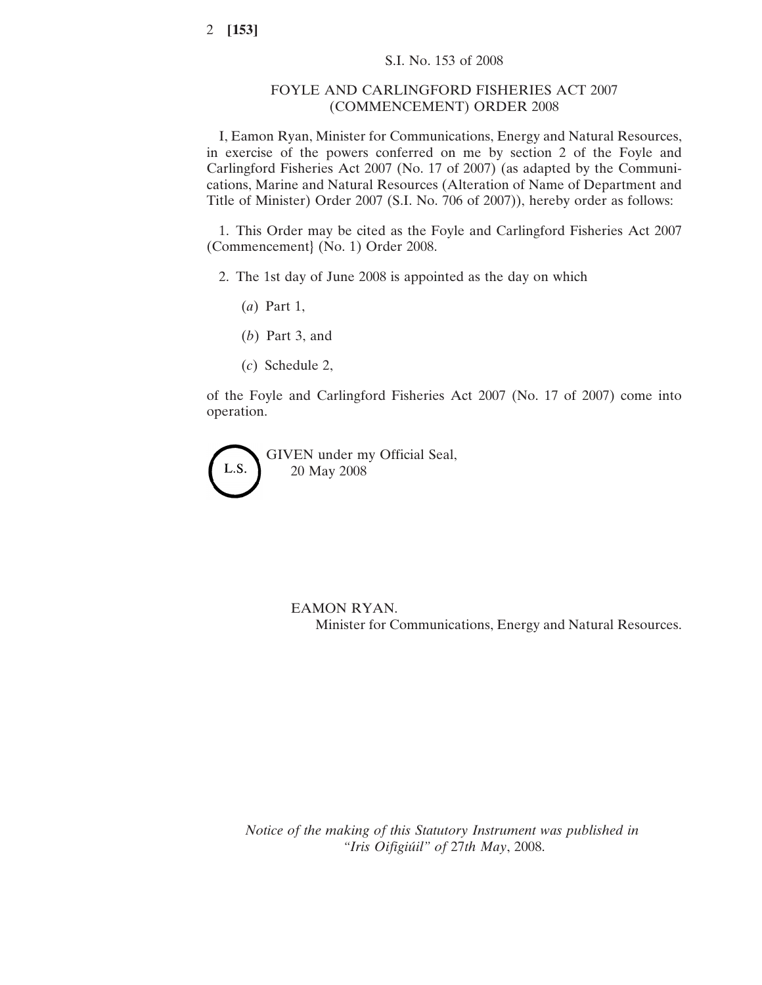## FOYLE AND CARLINGFORD FISHERIES ACT 2007 (COMMENCEMENT) ORDER 2008

I, Eamon Ryan, Minister for Communications, Energy and Natural Resources, in exercise of the powers conferred on me by section 2 of the Foyle and Carlingford Fisheries Act 2007 (No. 17 of 2007) (as adapted by the Communications, Marine and Natural Resources (Alteration of Name of Department and Title of Minister) Order 2007 (S.I. No. 706 of 2007)), hereby order as follows:

1. This Order may be cited as the Foyle and Carlingford Fisheries Act 2007 (Commencement} (No. 1) Order 2008.

- 2. The 1st day of June 2008 is appointed as the day on which
	- (*a*) Part 1,
	- (*b*) Part 3, and
	- (*c*) Schedule 2,

of the Foyle and Carlingford Fisheries Act 2007 (No. 17 of 2007) come into operation.

GIVEN under my Official Seal, L.S. 20 May 2008

> EAMON RYAN. Minister for Communications, Energy and Natural Resources.

*Notice of the making of this Statutory Instrument was published in "Iris Oifigiu´il" of* 27*th May*, 2008.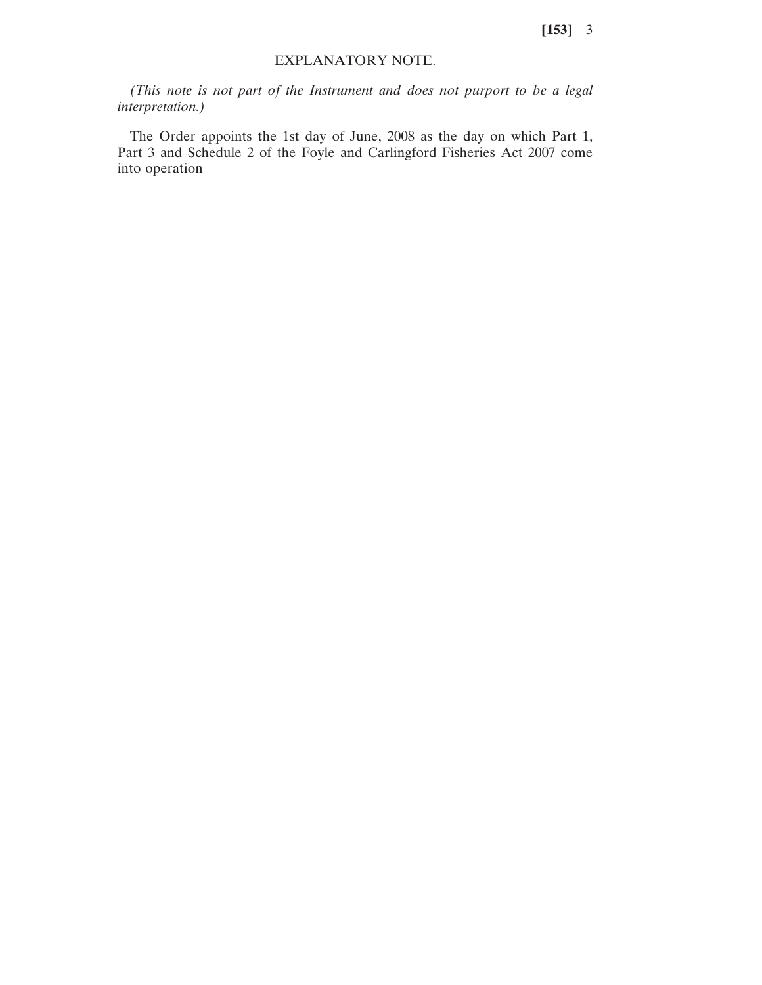**[153]** 3

## EXPLANATORY NOTE.

*(This note is not part of the Instrument and does not purport to be a legal interpretation.)*

The Order appoints the 1st day of June, 2008 as the day on which Part 1, Part 3 and Schedule 2 of the Foyle and Carlingford Fisheries Act 2007 come into operation